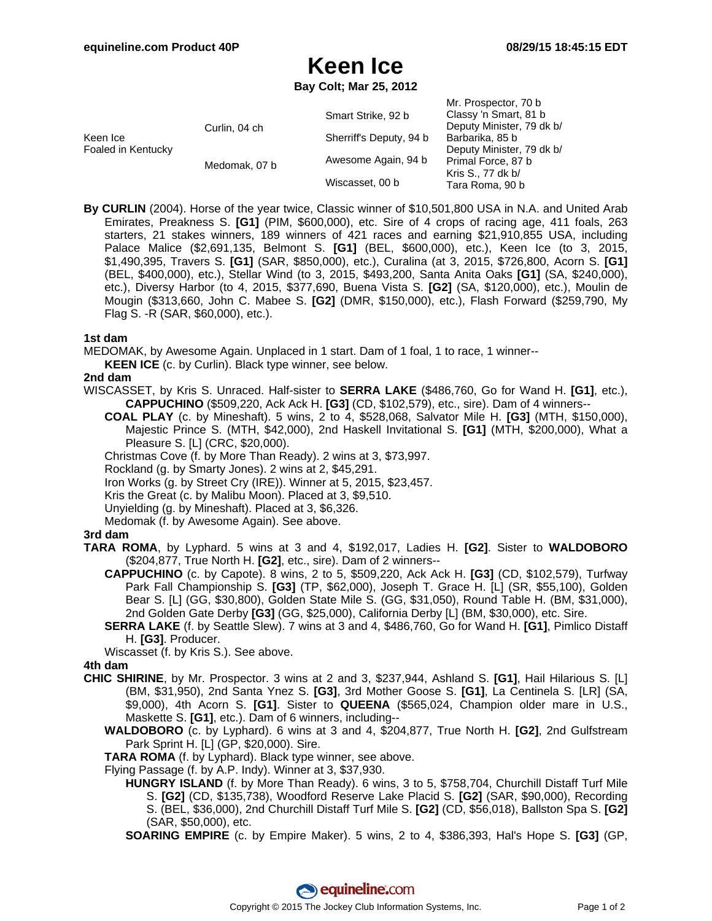# **Keen Ice**

**Bay Colt; Mar 25, 2012**

|                                |               | Smart Strike, 92 b      | Mr. Prospector, 70 b<br>Classy 'n Smart, 81 b                                                                                           |
|--------------------------------|---------------|-------------------------|-----------------------------------------------------------------------------------------------------------------------------------------|
| Keen Ice<br>Foaled in Kentucky | Curlin, 04 ch | Sherriff's Deputy, 94 b | Deputy Minister, 79 dk b/<br>Barbarika, 85 b<br>Deputy Minister, 79 dk b/<br>Primal Force, 87 b<br>Kris S., 77 dk b/<br>Tara Roma, 90 b |
|                                | Medomak, 07 b | Awesome Again, 94 b     |                                                                                                                                         |
|                                |               | Wiscasset, 00 b         |                                                                                                                                         |

**By CURLIN** (2004). Horse of the year twice, Classic winner of \$10,501,800 USA in N.A. and United Arab Emirates, Preakness S. **[G1]** (PIM, \$600,000), etc. Sire of 4 crops of racing age, 411 foals, 263 starters, 21 stakes winners, 189 winners of 421 races and earning \$21,910,855 USA, including Palace Malice (\$2,691,135, Belmont S. **[G1]** (BEL, \$600,000), etc.), Keen Ice (to 3, 2015, \$1,490,395, Travers S. **[G1]** (SAR, \$850,000), etc.), Curalina (at 3, 2015, \$726,800, Acorn S. **[G1]** (BEL, \$400,000), etc.), Stellar Wind (to 3, 2015, \$493,200, Santa Anita Oaks **[G1]** (SA, \$240,000), etc.), Diversy Harbor (to 4, 2015, \$377,690, Buena Vista S. **[G2]** (SA, \$120,000), etc.), Moulin de Mougin (\$313,660, John C. Mabee S. **[G2]** (DMR, \$150,000), etc.), Flash Forward (\$259,790, My Flag S. -R (SAR, \$60,000), etc.).

### **1st dam**

MEDOMAK, by Awesome Again. Unplaced in 1 start. Dam of 1 foal, 1 to race, 1 winner--

**KEEN ICE** (c. by Curlin). Black type winner, see below.

### **2nd dam**

- WISCASSET, by Kris S. Unraced. Half-sister to **SERRA LAKE** (\$486,760, Go for Wand H. **[G1]**, etc.), **CAPPUCHINO** (\$509,220, Ack Ack H. **[G3]** (CD, \$102,579), etc., sire). Dam of 4 winners--
	- **COAL PLAY** (c. by Mineshaft). 5 wins, 2 to 4, \$528,068, Salvator Mile H. **[G3]** (MTH, \$150,000), Majestic Prince S. (MTH, \$42,000), 2nd Haskell Invitational S. **[G1]** (MTH, \$200,000), What a Pleasure S. [L] (CRC, \$20,000).
	- Christmas Cove (f. by More Than Ready). 2 wins at 3, \$73,997.
	- Rockland (g. by Smarty Jones). 2 wins at 2, \$45,291.
	- Iron Works (g. by Street Cry (IRE)). Winner at 5, 2015, \$23,457.
	- Kris the Great (c. by Malibu Moon). Placed at 3, \$9,510.
	- Unyielding (g. by Mineshaft). Placed at 3, \$6,326.
	- Medomak (f. by Awesome Again). See above.

### **3rd dam**

- **TARA ROMA**, by Lyphard. 5 wins at 3 and 4, \$192,017, Ladies H. **[G2]**. Sister to **WALDOBORO** (\$204,877, True North H. **[G2]**, etc., sire). Dam of 2 winners--
	- **CAPPUCHINO** (c. by Capote). 8 wins, 2 to 5, \$509,220, Ack Ack H. **[G3]** (CD, \$102,579), Turfway Park Fall Championship S. **[G3]** (TP, \$62,000), Joseph T. Grace H. [L] (SR, \$55,100), Golden Bear S. [L] (GG, \$30,800), Golden State Mile S. (GG, \$31,050), Round Table H. (BM, \$31,000), 2nd Golden Gate Derby **[G3]** (GG, \$25,000), California Derby [L] (BM, \$30,000), etc. Sire.
	- **SERRA LAKE** (f. by Seattle Slew). 7 wins at 3 and 4, \$486,760, Go for Wand H. **[G1]**, Pimlico Distaff H. **[G3]**. Producer.
	- Wiscasset (f. by Kris S.). See above.

### **4th dam**

- **CHIC SHIRINE**, by Mr. Prospector. 3 wins at 2 and 3, \$237,944, Ashland S. **[G1]**, Hail Hilarious S. [L] (BM, \$31,950), 2nd Santa Ynez S. **[G3]**, 3rd Mother Goose S. **[G1]**, La Centinela S. [LR] (SA, \$9,000), 4th Acorn S. **[G1]**. Sister to **QUEENA** (\$565,024, Champion older mare in U.S., Maskette S. **[G1]**, etc.). Dam of 6 winners, including--
	- **WALDOBORO** (c. by Lyphard). 6 wins at 3 and 4, \$204,877, True North H. **[G2]**, 2nd Gulfstream Park Sprint H. [L] (GP, \$20,000). Sire.
	- **TARA ROMA** (f. by Lyphard). Black type winner, see above.
	- Flying Passage (f. by A.P. Indy). Winner at 3, \$37,930.
		- **HUNGRY ISLAND** (f. by More Than Ready). 6 wins, 3 to 5, \$758,704, Churchill Distaff Turf Mile S. **[G2]** (CD, \$135,738), Woodford Reserve Lake Placid S. **[G2]** (SAR, \$90,000), Recording S. (BEL, \$36,000), 2nd Churchill Distaff Turf Mile S. **[G2]** (CD, \$56,018), Ballston Spa S. **[G2]** (SAR, \$50,000), etc.
		- **SOARING EMPIRE** (c. by Empire Maker). 5 wins, 2 to 4, \$386,393, Hal's Hope S. **[G3]** (GP,